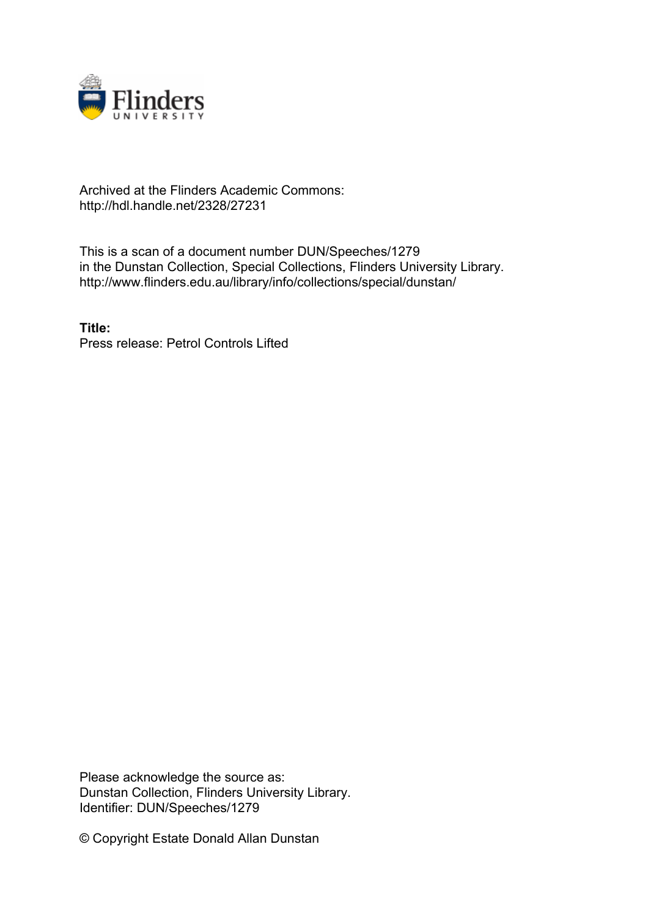

## Archived at the Flinders Academic Commons: http://hdl.handle.net/2328/27231

This is a scan of a document number DUN/Speeches/1279 in the Dunstan Collection, Special Collections, Flinders University Library. http://www.flinders.edu.au/library/info/collections/special/dunstan/

**Title:** Press release: Petrol Controls Lifted

Please acknowledge the source as: Dunstan Collection, Flinders University Library. Identifier: DUN/Speeches/1279

© Copyright Estate Donald Allan Dunstan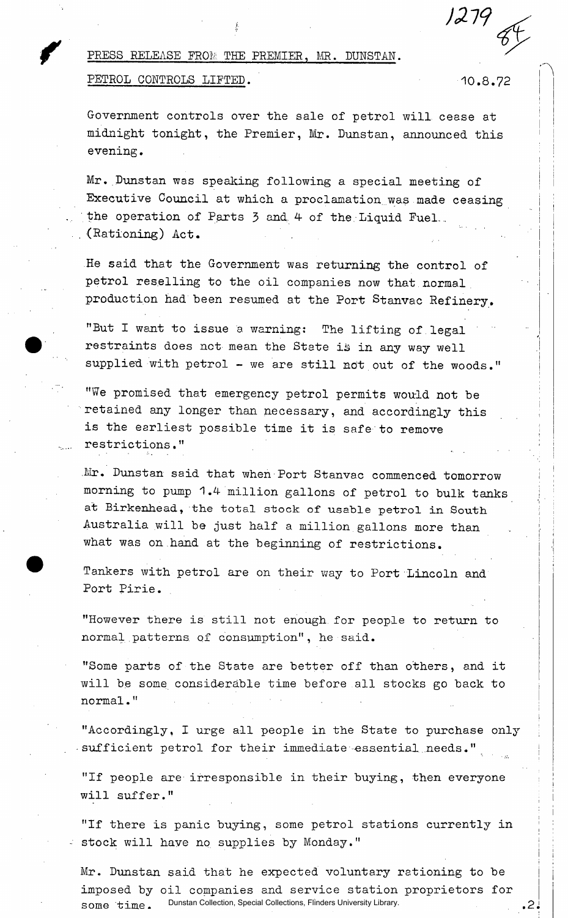1279

## PRESS RELEASE FROM THE PREMIER, MR. DUNSTAN. PETROL CONTROLS LIFTED. 10.8.72

.2.

Government controls over the sale of petrol will cease at midnight tonight, the Premier, Mr. Dunstan, announced this evening.

Mr. Dunstan was speaking following a special meeting of Executive Council at which a proclamation was made ceasing the operation of Parts 3 and. 4 of the Liquid Fuel. .. . (Rationing) Act.

He said that the Government was returning the control of petrol reselling to the oil companies now that normal production had been resumed at the Port Stanvac Refinery.

"But I want to issue a warning: The lifting of legal restraints does not mean the State is in any way well supplied with petrol - we are still not out of the woods."

"We promised that emergency petrol permits would not be retained any longer than necessary, and accordingly this is the earliest possible time it is safe to remove restrictions."

.Mr. Dunstan said that when Port Stanvac commenced tomorrow morning to pump 1.4- million gallons of petrol to bulk tanks at Birkenhead, the total stock of usable petrol in South Australia will be just half a million gallons more than what was on.hand at the beginning of restrictions.

Tankers with petrol are on their way to Port Lincoln and Port Pirie.

"However there is still not enough for people to return to normal patterns of consumption", he said.

"Some parts of the State are better off than others, and it will be some considerable time before all stocks go back to normal."

"Accordingly, I urge all people in the State to purchase only sufficient petrol for their immediate essential needs."

"If people are irresponsible in their buying, then everyone will suffer."

"If there is panic buying, some petrol stations currently in stock will have no supplies by Monday."

Mr. Dunstan said that he expected voluntary rationing to be imposed by oil companies and service station proprietors for some  $\tau$ ime. Dunstan Collection, Special Collections, Flinders University Library.